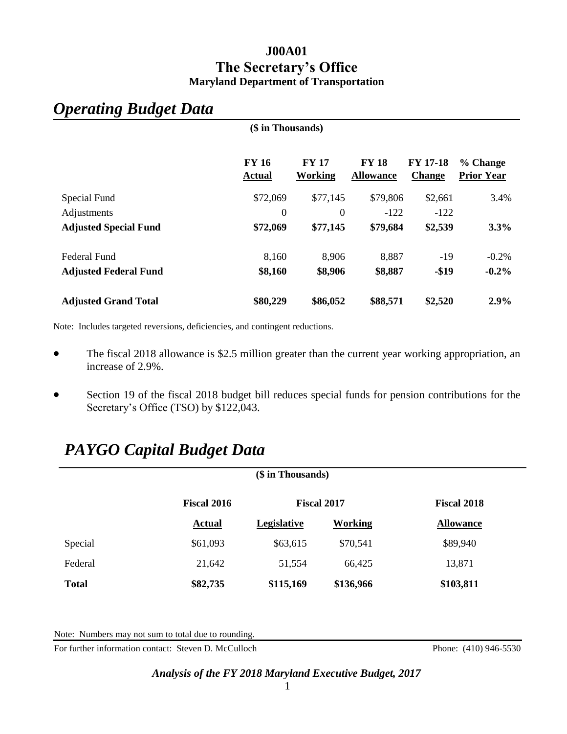# **J00A01 The Secretary's Office Maryland Department of Transportation**

**(\$ in Thousands)**

# *Operating Budget Data*

|                              | $(\psi$ in Thousands          |                         |                                  |                                  |                               |
|------------------------------|-------------------------------|-------------------------|----------------------------------|----------------------------------|-------------------------------|
|                              | <b>FY 16</b><br><b>Actual</b> | <b>FY 17</b><br>Working | <b>FY 18</b><br><b>Allowance</b> | <b>FY 17-18</b><br><b>Change</b> | % Change<br><b>Prior Year</b> |
| Special Fund                 | \$72,069                      | \$77,145                | \$79,806                         | \$2,661                          | 3.4%                          |
| Adjustments                  | $\boldsymbol{0}$              | $\theta$                | $-122$                           | $-122$                           |                               |
| <b>Adjusted Special Fund</b> | \$72,069                      | \$77,145                | \$79,684                         | \$2,539                          | 3.3%                          |
| <b>Federal Fund</b>          | 8,160                         | 8,906                   | 8,887                            | $-19$                            | $-0.2%$                       |
| <b>Adjusted Federal Fund</b> | \$8,160                       | \$8,906                 | \$8,887                          | $-$19$                           | $-0.2%$                       |
| <b>Adjusted Grand Total</b>  | \$80,229                      | \$86,052                | \$88,571                         | \$2,520                          | $2.9\%$                       |

Note: Includes targeted reversions, deficiencies, and contingent reductions.

- The fiscal 2018 allowance is \$2.5 million greater than the current year working appropriation, an increase of 2.9%.
- Section 19 of the fiscal 2018 budget bill reduces special funds for pension contributions for the Secretary's Office (TSO) by \$122,043.

# *PAYGO Capital Budget Data*

| (\$ in Thousands) |                    |                    |                |                    |
|-------------------|--------------------|--------------------|----------------|--------------------|
|                   | <b>Fiscal 2016</b> | <b>Fiscal 2017</b> |                | <b>Fiscal 2018</b> |
|                   | <b>Actual</b>      | Legislative        | <b>Working</b> | <b>Allowance</b>   |
| Special           | \$61,093           | \$63,615           | \$70,541       | \$89,940           |
| Federal           | 21,642             | 51,554             | 66,425         | 13,871             |
| <b>Total</b>      | \$82,735           | \$115,169          | \$136,966      | \$103,811          |

Note: Numbers may not sum to total due to rounding.

For further information contact: Steven D. McCulloch Phone: (410) 946-5530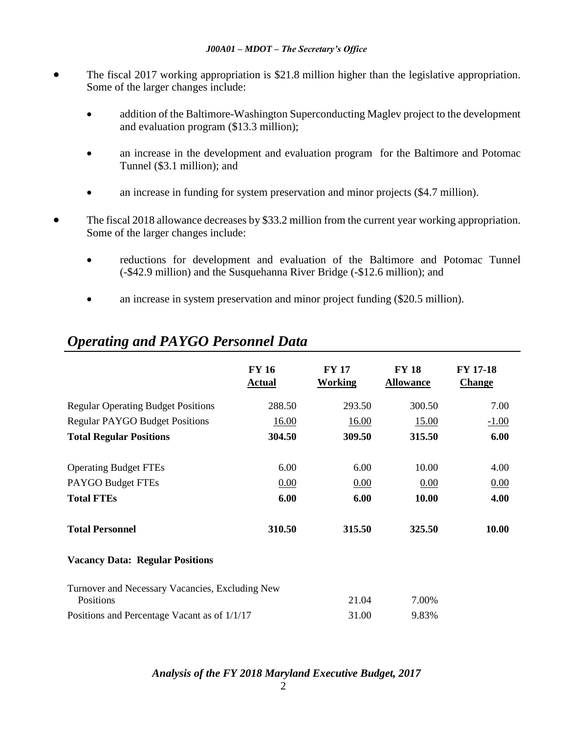- The fiscal 2017 working appropriation is \$21.8 million higher than the legislative appropriation. Some of the larger changes include:
	- addition of the Baltimore-Washington Superconducting Maglev project to the development and evaluation program (\$13.3 million);
	- an increase in the development and evaluation program for the Baltimore and Potomac Tunnel (\$3.1 million); and
	- an increase in funding for system preservation and minor projects (\$4.7 million).
- The fiscal 2018 allowance decreases by \$33.2 million from the current year working appropriation. Some of the larger changes include:
	- reductions for development and evaluation of the Baltimore and Potomac Tunnel (-\$42.9 million) and the Susquehanna River Bridge (-\$12.6 million); and
	- an increase in system preservation and minor project funding (\$20.5 million).

|                                                              | <b>FY 16</b><br><b>Actual</b> | <b>FY 17</b><br><b>Working</b> | <b>FY 18</b><br><b>Allowance</b> | <b>FY 17-18</b><br><b>Change</b> |
|--------------------------------------------------------------|-------------------------------|--------------------------------|----------------------------------|----------------------------------|
| <b>Regular Operating Budget Positions</b>                    | 288.50                        | 293.50                         | 300.50                           | 7.00                             |
| <b>Regular PAYGO Budget Positions</b>                        | 16.00                         | 16.00                          | <u>15.00</u>                     | $-1.00$                          |
| <b>Total Regular Positions</b>                               | 304.50                        | 309.50                         | 315.50                           | 6.00                             |
|                                                              |                               |                                |                                  |                                  |
| <b>Operating Budget FTEs</b>                                 | 6.00                          | 6.00                           | 10.00                            | 4.00                             |
| PAYGO Budget FTEs                                            | 0.00                          | 0.00                           | 0.00                             | 0.00                             |
| <b>Total FTEs</b>                                            | 6.00                          | 6.00                           | 10.00                            | 4.00                             |
| <b>Total Personnel</b>                                       | 310.50                        | 315.50                         | 325.50                           | 10.00                            |
| <b>Vacancy Data: Regular Positions</b>                       |                               |                                |                                  |                                  |
| Turnover and Necessary Vacancies, Excluding New<br>Positions |                               | 21.04                          | 7.00%                            |                                  |
| Positions and Percentage Vacant as of 1/1/17                 |                               | 31.00                          | 9.83%                            |                                  |

# *Operating and PAYGO Personnel Data*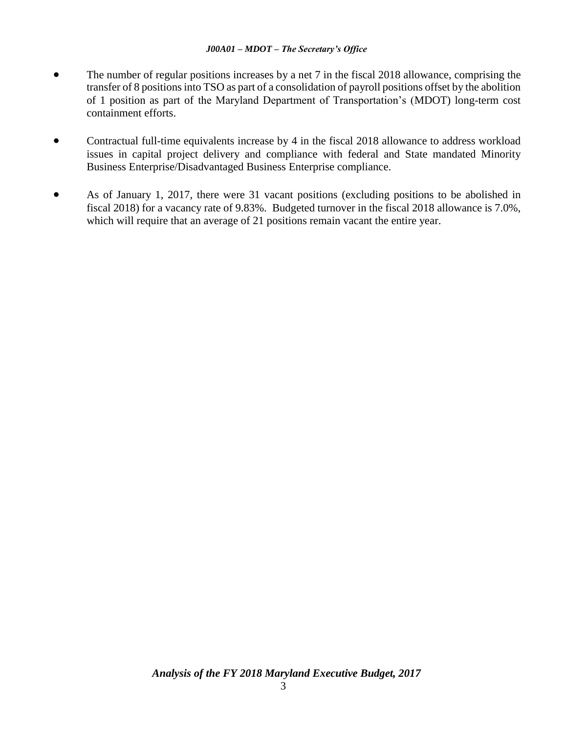- The number of regular positions increases by a net 7 in the fiscal 2018 allowance, comprising the transfer of 8 positions into TSO as part of a consolidation of payroll positions offset by the abolition of 1 position as part of the Maryland Department of Transportation's (MDOT) long-term cost containment efforts.
- Contractual full-time equivalents increase by 4 in the fiscal 2018 allowance to address workload issues in capital project delivery and compliance with federal and State mandated Minority Business Enterprise/Disadvantaged Business Enterprise compliance.
- As of January 1, 2017, there were 31 vacant positions (excluding positions to be abolished in fiscal 2018) for a vacancy rate of 9.83%. Budgeted turnover in the fiscal 2018 allowance is 7.0%, which will require that an average of 21 positions remain vacant the entire year.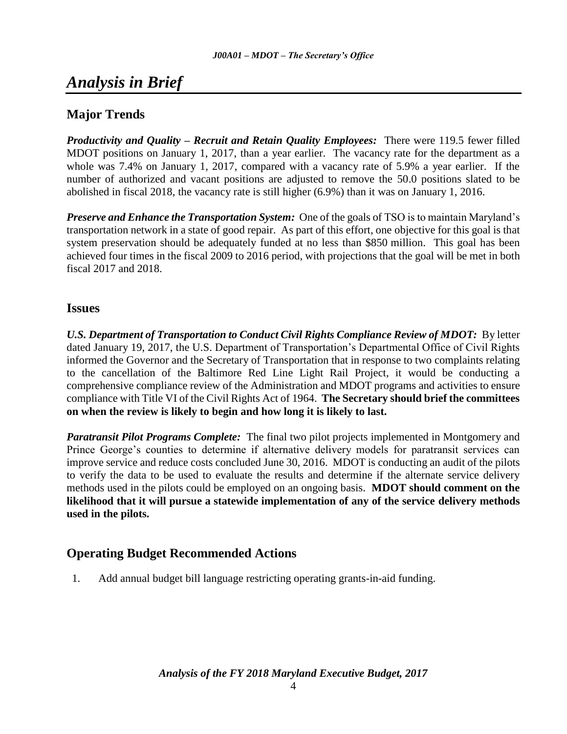# *Analysis in Brief*

# **Major Trends**

*Productivity and Quality – Recruit and Retain Quality Employees:* There were 119.5 fewer filled MDOT positions on January 1, 2017, than a year earlier. The vacancy rate for the department as a whole was 7.4% on January 1, 2017, compared with a vacancy rate of 5.9% a year earlier. If the number of authorized and vacant positions are adjusted to remove the 50.0 positions slated to be abolished in fiscal 2018, the vacancy rate is still higher (6.9%) than it was on January 1, 2016.

*Preserve and Enhance the Transportation System:* One of the goals of TSO is to maintain Maryland's transportation network in a state of good repair. As part of this effort, one objective for this goal is that system preservation should be adequately funded at no less than \$850 million. This goal has been achieved four times in the fiscal 2009 to 2016 period, with projections that the goal will be met in both fiscal 2017 and 2018.

## **Issues**

*U.S. Department of Transportation to Conduct Civil Rights Compliance Review of MDOT:* By letter dated January 19, 2017, the U.S. Department of Transportation's Departmental Office of Civil Rights informed the Governor and the Secretary of Transportation that in response to two complaints relating to the cancellation of the Baltimore Red Line Light Rail Project, it would be conducting a comprehensive compliance review of the Administration and MDOT programs and activities to ensure compliance with Title VI of the Civil Rights Act of 1964. **The Secretary should brief the committees on when the review is likely to begin and how long it is likely to last.** 

*Paratransit Pilot Programs Complete:* The final two pilot projects implemented in Montgomery and Prince George's counties to determine if alternative delivery models for paratransit services can improve service and reduce costs concluded June 30, 2016. MDOT is conducting an audit of the pilots to verify the data to be used to evaluate the results and determine if the alternate service delivery methods used in the pilots could be employed on an ongoing basis. **MDOT should comment on the likelihood that it will pursue a statewide implementation of any of the service delivery methods used in the pilots.**

## **Operating Budget Recommended Actions**

1. Add annual budget bill language restricting operating grants-in-aid funding.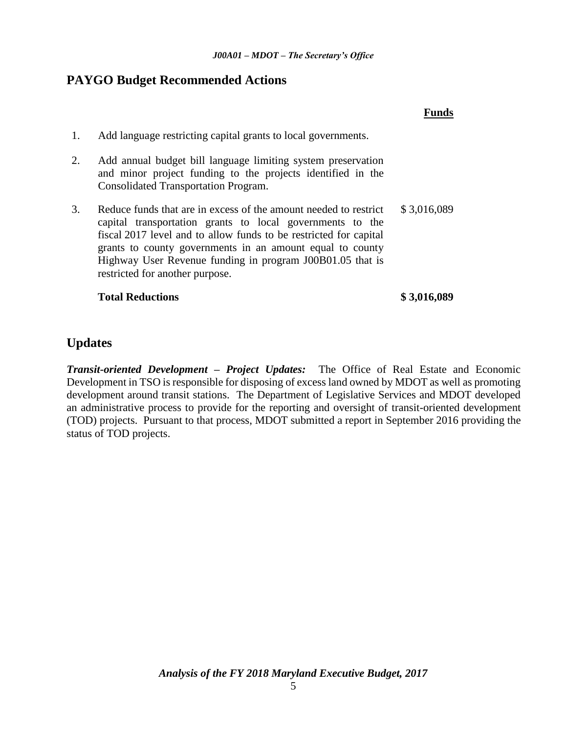## **PAYGO Budget Recommended Actions**

|    |                                                                                                                                                                                                                                                                                                                                                                 | Fund        |
|----|-----------------------------------------------------------------------------------------------------------------------------------------------------------------------------------------------------------------------------------------------------------------------------------------------------------------------------------------------------------------|-------------|
| 1. | Add language restricting capital grants to local governments.                                                                                                                                                                                                                                                                                                   |             |
| 2. | Add annual budget bill language limiting system preservation<br>and minor project funding to the projects identified in the<br><b>Consolidated Transportation Program.</b>                                                                                                                                                                                      |             |
| 3. | Reduce funds that are in excess of the amount needed to restrict<br>capital transportation grants to local governments to the<br>fiscal 2017 level and to allow funds to be restricted for capital<br>grants to county governments in an amount equal to county<br>Highway User Revenue funding in program J00B01.05 that is<br>restricted for another purpose. | \$3,016,089 |
|    | <b>Total Reductions</b>                                                                                                                                                                                                                                                                                                                                         | \$3,016,089 |

# **Updates**

*Transit-oriented Development – Project Updates:* The Office of Real Estate and Economic Development in TSO is responsible for disposing of excess land owned by MDOT as well as promoting development around transit stations. The Department of Legislative Services and MDOT developed an administrative process to provide for the reporting and oversight of transit-oriented development (TOD) projects. Pursuant to that process, MDOT submitted a report in September 2016 providing the status of TOD projects.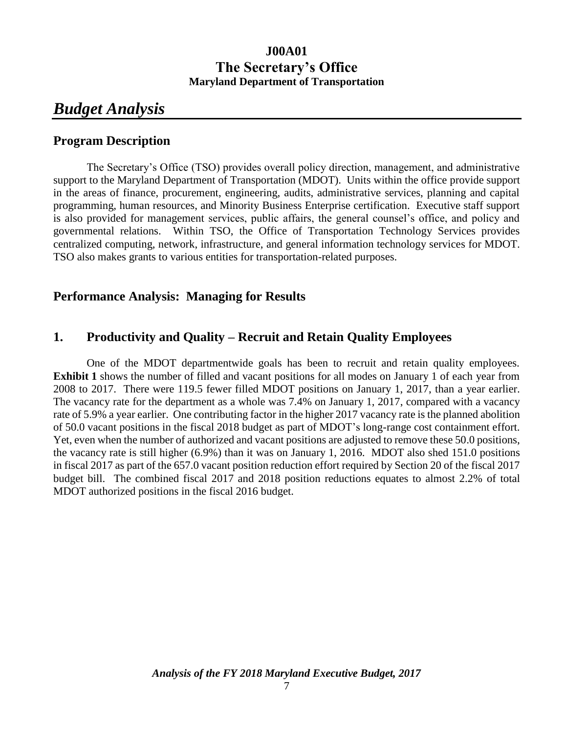# **J00A01 The Secretary's Office Maryland Department of Transportation**

# *Budget Analysis*

## **Program Description**

The Secretary's Office (TSO) provides overall policy direction, management, and administrative support to the Maryland Department of Transportation (MDOT). Units within the office provide support in the areas of finance, procurement, engineering, audits, administrative services, planning and capital programming, human resources, and Minority Business Enterprise certification. Executive staff support is also provided for management services, public affairs, the general counsel's office, and policy and governmental relations. Within TSO, the Office of Transportation Technology Services provides centralized computing, network, infrastructure, and general information technology services for MDOT. TSO also makes grants to various entities for transportation-related purposes.

## **Performance Analysis: Managing for Results**

## **1. Productivity and Quality – Recruit and Retain Quality Employees**

One of the MDOT departmentwide goals has been to recruit and retain quality employees. **Exhibit 1** shows the number of filled and vacant positions for all modes on January 1 of each year from 2008 to 2017. There were 119.5 fewer filled MDOT positions on January 1, 2017, than a year earlier. The vacancy rate for the department as a whole was 7.4% on January 1, 2017, compared with a vacancy rate of 5.9% a year earlier. One contributing factor in the higher 2017 vacancy rate is the planned abolition of 50.0 vacant positions in the fiscal 2018 budget as part of MDOT's long-range cost containment effort. Yet, even when the number of authorized and vacant positions are adjusted to remove these 50.0 positions, the vacancy rate is still higher (6.9%) than it was on January 1, 2016. MDOT also shed 151.0 positions in fiscal 2017 as part of the 657.0 vacant position reduction effort required by Section 20 of the fiscal 2017 budget bill. The combined fiscal 2017 and 2018 position reductions equates to almost 2.2% of total MDOT authorized positions in the fiscal 2016 budget.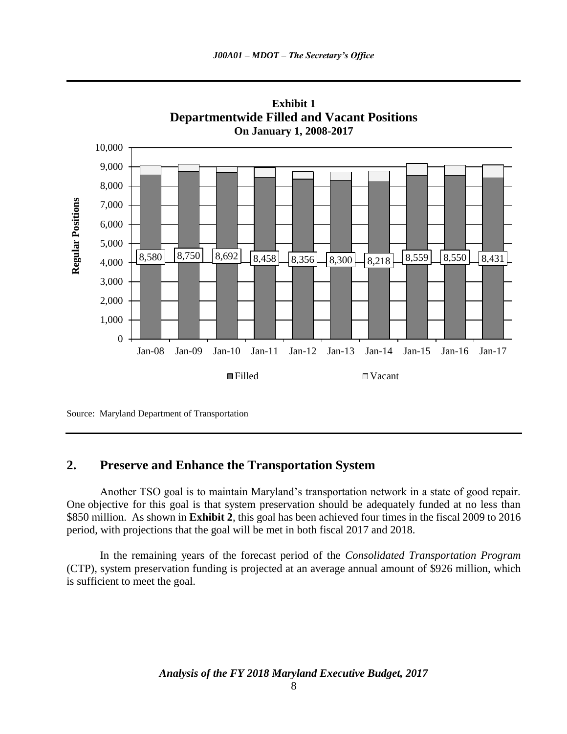



## **2. Preserve and Enhance the Transportation System**

Another TSO goal is to maintain Maryland's transportation network in a state of good repair. One objective for this goal is that system preservation should be adequately funded at no less than \$850 million. As shown in **Exhibit 2**, this goal has been achieved four times in the fiscal 2009 to 2016 period, with projections that the goal will be met in both fiscal 2017 and 2018.

In the remaining years of the forecast period of the *Consolidated Transportation Program*  (CTP), system preservation funding is projected at an average annual amount of \$926 million, which is sufficient to meet the goal.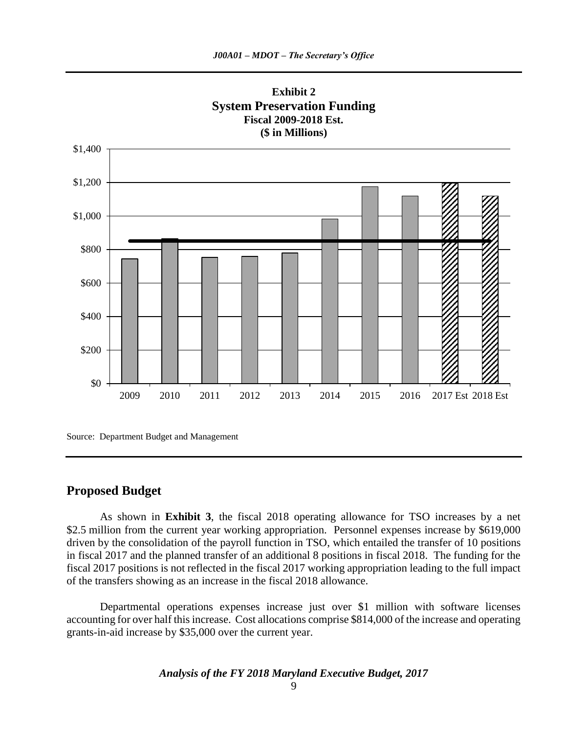

Source: Department Budget and Management

### **Proposed Budget**

As shown in **Exhibit 3**, the fiscal 2018 operating allowance for TSO increases by a net \$2.5 million from the current year working appropriation. Personnel expenses increase by \$619,000 driven by the consolidation of the payroll function in TSO, which entailed the transfer of 10 positions in fiscal 2017 and the planned transfer of an additional 8 positions in fiscal 2018. The funding for the fiscal 2017 positions is not reflected in the fiscal 2017 working appropriation leading to the full impact of the transfers showing as an increase in the fiscal 2018 allowance.

Departmental operations expenses increase just over \$1 million with software licenses accounting for over half this increase. Cost allocations comprise \$814,000 of the increase and operating grants-in-aid increase by \$35,000 over the current year.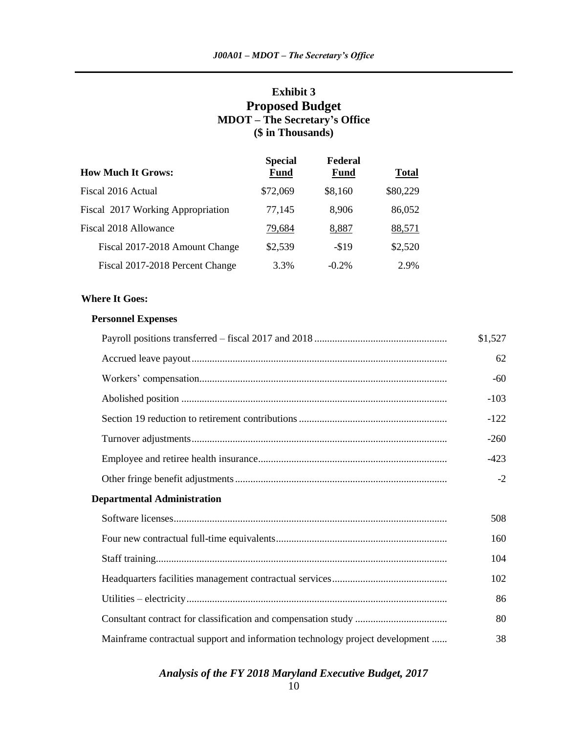## **Exhibit 3 Proposed Budget MDOT – The Secretary's Office (\$ in Thousands)**

| <b>How Much It Grows:</b>         | <b>Special</b><br><b>Fund</b> | Federal<br><b>Fund</b> | <b>Total</b> |
|-----------------------------------|-------------------------------|------------------------|--------------|
| Fiscal 2016 Actual                | \$72,069                      | \$8,160                | \$80,229     |
| Fiscal 2017 Working Appropriation | 77,145                        | 8,906                  | 86,052       |
| Fiscal 2018 Allowance             | 79,684                        | 8,887                  | 88,571       |
| Fiscal 2017-2018 Amount Change    | \$2,539                       | $- $19$                | \$2,520      |
| Fiscal 2017-2018 Percent Change   | 3.3%                          | $-0.2\%$               | 2.9%         |

#### **Where It Goes:**

#### **Personnel Expenses**

|                                                                              | \$1,527 |
|------------------------------------------------------------------------------|---------|
|                                                                              | 62      |
|                                                                              | $-60$   |
|                                                                              | $-103$  |
|                                                                              | $-122$  |
|                                                                              | $-260$  |
|                                                                              | $-423$  |
|                                                                              | $-2$    |
| <b>Departmental Administration</b>                                           |         |
|                                                                              | 508     |
|                                                                              | 160     |
|                                                                              | 104     |
|                                                                              | 102     |
|                                                                              | 86      |
|                                                                              | 80      |
| Mainframe contractual support and information technology project development | 38      |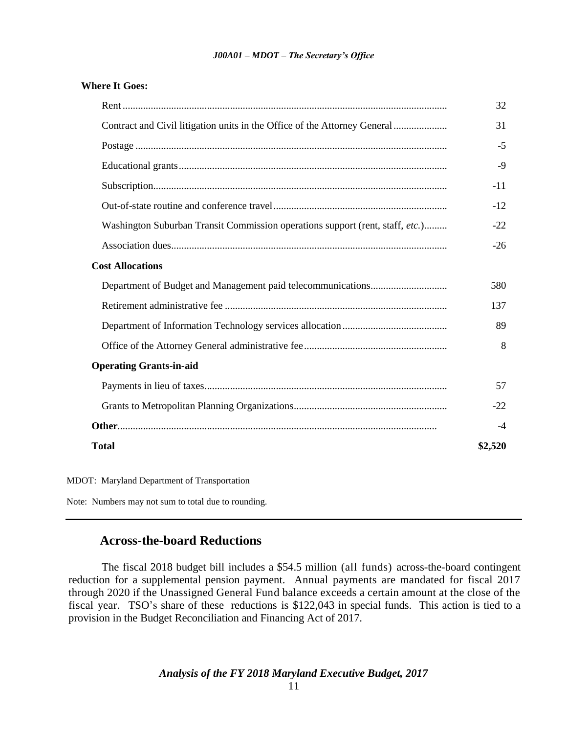#### **Where It Goes:**

|                                                                               | 32      |
|-------------------------------------------------------------------------------|---------|
| Contract and Civil litigation units in the Office of the Attorney General     | 31      |
|                                                                               | $-5$    |
|                                                                               | $-9$    |
|                                                                               | $-11$   |
|                                                                               | $-12$   |
| Washington Suburban Transit Commission operations support (rent, staff, etc.) | $-22$   |
|                                                                               | $-26$   |
| <b>Cost Allocations</b>                                                       |         |
|                                                                               | 580     |
|                                                                               | 137     |
|                                                                               | 89      |
|                                                                               | 8       |
| <b>Operating Grants-in-aid</b>                                                |         |
|                                                                               | 57      |
|                                                                               | $-22$   |
|                                                                               | $-4$    |
| <b>Total</b>                                                                  | \$2,520 |
|                                                                               |         |

MDOT: Maryland Department of Transportation

Note: Numbers may not sum to total due to rounding.

### **Across-the-board Reductions**

The fiscal 2018 budget bill includes a \$54.5 million (all funds) across-the-board contingent reduction for a supplemental pension payment. Annual payments are mandated for fiscal 2017 through 2020 if the Unassigned General Fund balance exceeds a certain amount at the close of the fiscal year. TSO's share of these reductions is \$122,043 in special funds. This action is tied to a provision in the Budget Reconciliation and Financing Act of 2017.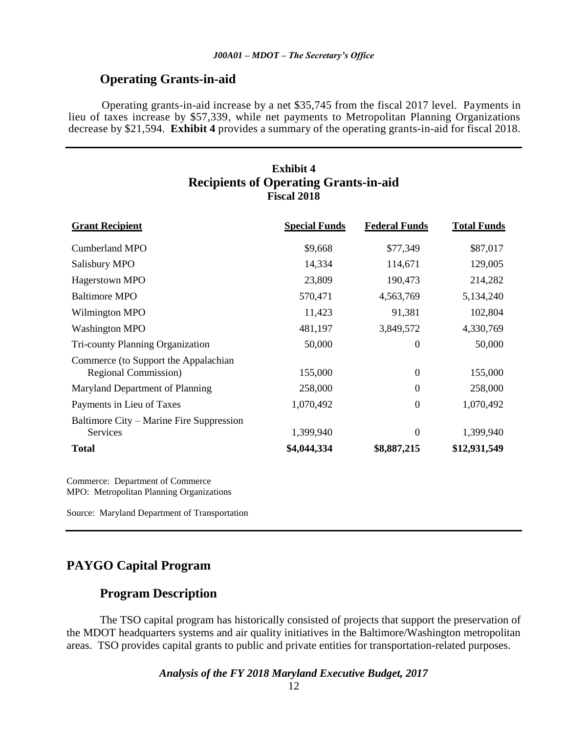## **Operating Grants-in-aid**

Operating grants-in-aid increase by a net \$35,745 from the fiscal 2017 level. Payments in lieu of taxes increase by \$57,339, while net payments to Metropolitan Planning Organizations decrease by \$21,594. **Exhibit 4** provides a summary of the operating grants-in-aid for fiscal 2018.

## **Exhibit 4 Recipients of Operating Grants-in-aid Fiscal 2018**

| <b>Grant Recipient</b>                                       | <b>Special Funds</b> | <b>Federal Funds</b> | <b>Total Funds</b> |
|--------------------------------------------------------------|----------------------|----------------------|--------------------|
| Cumberland MPO                                               | \$9,668              | \$77,349             | \$87,017           |
| Salisbury MPO                                                | 14,334               | 114,671              | 129,005            |
| Hagerstown MPO                                               | 23,809               | 190,473              | 214,282            |
| <b>Baltimore MPO</b>                                         | 570,471              | 4,563,769            | 5,134,240          |
| Wilmington MPO                                               | 11,423               | 91,381               | 102,804            |
| <b>Washington MPO</b>                                        | 481,197              | 3,849,572            | 4,330,769          |
| Tri-county Planning Organization                             | 50,000               | $\Omega$             | 50,000             |
| Commerce (to Support the Appalachian<br>Regional Commission) | 155,000              | $\overline{0}$       | 155,000            |
| Maryland Department of Planning                              | 258,000              | $\theta$             | 258,000            |
| Payments in Lieu of Taxes                                    | 1,070,492            | $\theta$             | 1,070,492          |
| Baltimore City – Marine Fire Suppression<br><b>Services</b>  | 1,399,940            | $\theta$             | 1,399,940          |
| <b>Total</b>                                                 | \$4,044,334          | \$8,887,215          | \$12,931,549       |

Commerce: Department of Commerce MPO: Metropolitan Planning Organizations

Source: Maryland Department of Transportation

## **PAYGO Capital Program**

# **Program Description**

The TSO capital program has historically consisted of projects that support the preservation of the MDOT headquarters systems and air quality initiatives in the Baltimore/Washington metropolitan areas. TSO provides capital grants to public and private entities for transportation-related purposes.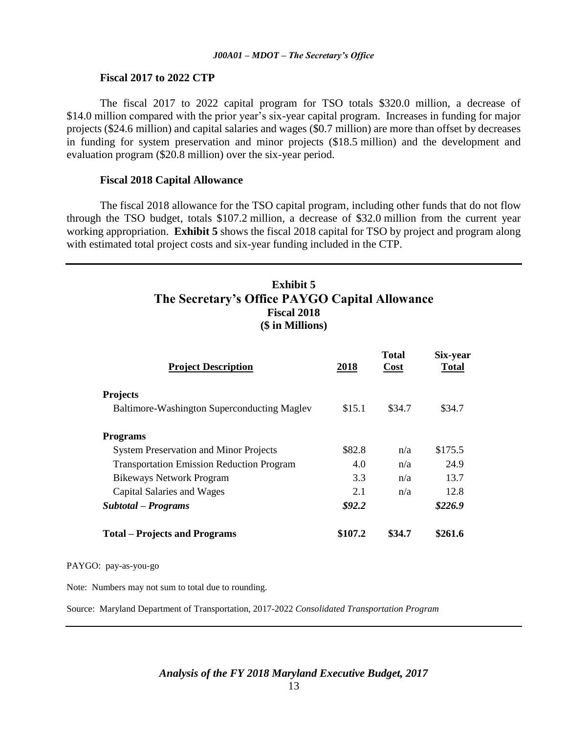#### **Fiscal 2017 to 2022 CTP**

The fiscal 2017 to 2022 capital program for TSO totals \$320.0 million, a decrease of \$14.0 million compared with the prior year's six-year capital program. Increases in funding for major projects (\$24.6 million) and capital salaries and wages (\$0.7 million) are more than offset by decreases in funding for system preservation and minor projects (\$18.5 million) and the development and evaluation program (\$20.8 million) over the six-year period.

#### **Fiscal 2018 Capital Allowance**

The fiscal 2018 allowance for the TSO capital program, including other funds that do not flow through the TSO budget, totals \$107.2 million, a decrease of \$32.0 million from the current year working appropriation. **Exhibit 5** shows the fiscal 2018 capital for TSO by project and program along with estimated total project costs and six-year funding included in the CTP.

## **Exhibit 5 The Secretary's Office PAYGO Capital Allowance Fiscal 2018 (\$ in Millions)**

| <b>Project Description</b>                       | 2018     | <b>Total</b><br>Cost | Six-year<br><b>Total</b> |
|--------------------------------------------------|----------|----------------------|--------------------------|
| <b>Projects</b>                                  |          |                      |                          |
| Baltimore-Washington Superconducting Maglev      | \$15.1   | \$34.7               | \$34.7                   |
| <b>Programs</b>                                  |          |                      |                          |
| <b>System Preservation and Minor Projects</b>    | \$82.8   | n/a                  | \$175.5                  |
| <b>Transportation Emission Reduction Program</b> | 4.0      | n/a                  | 24.9                     |
| <b>Bikeways Network Program</b>                  | 3.3      | n/a                  | 13.7                     |
| Capital Salaries and Wages                       | 2.1      | n/a                  | 12.8                     |
| Subtotal – Programs                              | \$92.2\$ |                      | \$226.9                  |
| <b>Total – Projects and Programs</b>             | \$107.2  | \$34.7               | \$261.6                  |

PAYGO: pay-as-you-go

Note: Numbers may not sum to total due to rounding.

Source: Maryland Department of Transportation, 2017-2022 *Consolidated Transportation Program*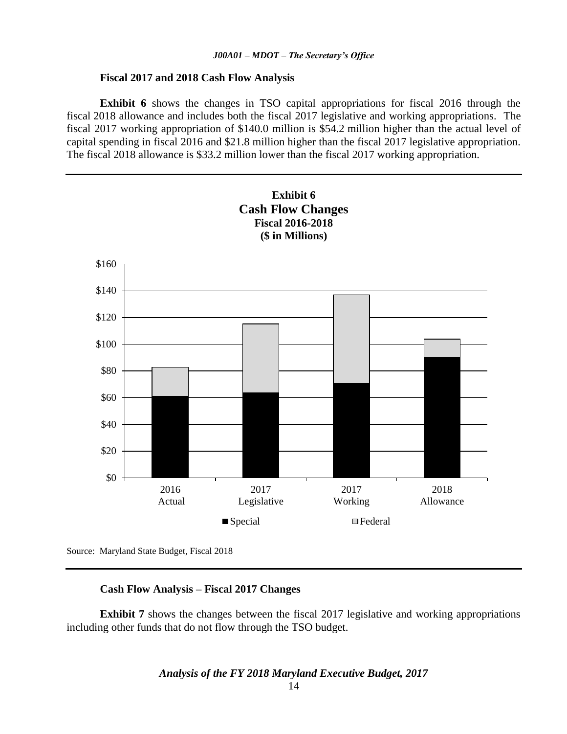#### **Fiscal 2017 and 2018 Cash Flow Analysis**

**Exhibit 6** shows the changes in TSO capital appropriations for fiscal 2016 through the fiscal 2018 allowance and includes both the fiscal 2017 legislative and working appropriations. The fiscal 2017 working appropriation of \$140.0 million is \$54.2 million higher than the actual level of capital spending in fiscal 2016 and \$21.8 million higher than the fiscal 2017 legislative appropriation. The fiscal 2018 allowance is \$33.2 million lower than the fiscal 2017 working appropriation.



Source: Maryland State Budget, Fiscal 2018

### **Cash Flow Analysis – Fiscal 2017 Changes**

**Exhibit 7** shows the changes between the fiscal 2017 legislative and working appropriations including other funds that do not flow through the TSO budget.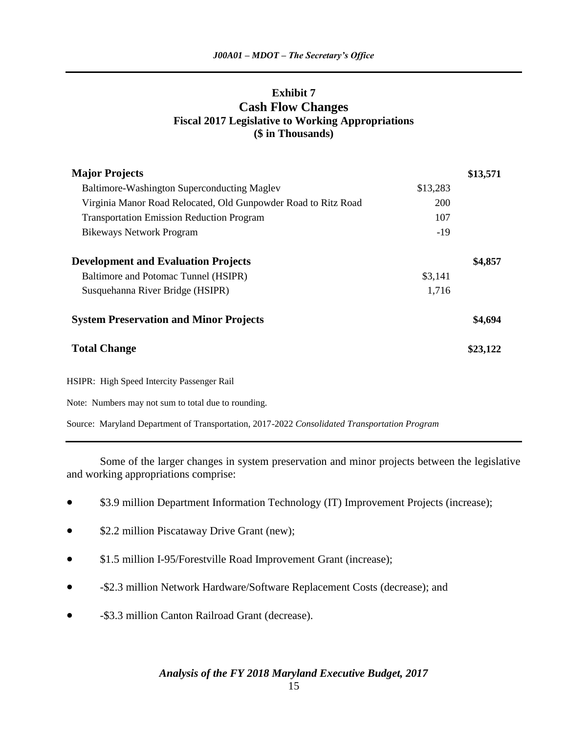## **Exhibit 7 Cash Flow Changes Fiscal 2017 Legislative to Working Appropriations (\$ in Thousands)**

| <b>Major Projects</b>                                          |          | \$13,571 |
|----------------------------------------------------------------|----------|----------|
| Baltimore-Washington Superconducting Maglev                    | \$13,283 |          |
| Virginia Manor Road Relocated, Old Gunpowder Road to Ritz Road | 200      |          |
| <b>Transportation Emission Reduction Program</b>               | 107      |          |
| <b>Bikeways Network Program</b>                                | $-19$    |          |
| <b>Development and Evaluation Projects</b>                     |          | \$4,857  |
| Baltimore and Potomac Tunnel (HSIPR)                           | \$3,141  |          |
| Susquehanna River Bridge (HSIPR)                               | 1,716    |          |
| <b>System Preservation and Minor Projects</b>                  |          | \$4,694  |
| <b>Total Change</b>                                            |          | \$23,122 |
| HSIPR: High Speed Intercity Passenger Rail                     |          |          |
| Note: Numbers may not sum to total due to rounding.            |          |          |

Source: Maryland Department of Transportation, 2017-2022 *Consolidated Transportation Program*

Some of the larger changes in system preservation and minor projects between the legislative and working appropriations comprise:

- \$3.9 million Department Information Technology (IT) Improvement Projects (increase);
- \$2.2 million Piscataway Drive Grant (new);
- \$1.5 million I-95/Forestville Road Improvement Grant (increase);
- -\$2.3 million Network Hardware/Software Replacement Costs (decrease); and
- -\$3.3 million Canton Railroad Grant (decrease).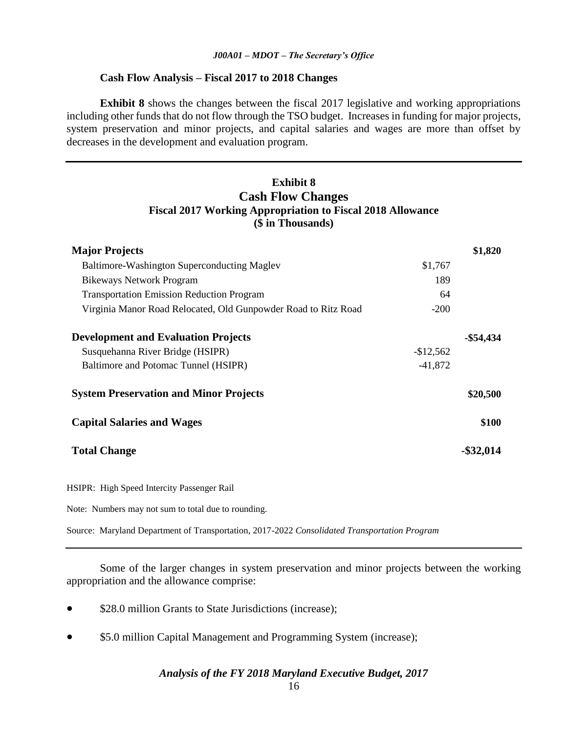#### **Cash Flow Analysis – Fiscal 2017 to 2018 Changes**

**Exhibit 8** shows the changes between the fiscal 2017 legislative and working appropriations including other funds that do not flow through the TSO budget. Increases in funding for major projects, system preservation and minor projects, and capital salaries and wages are more than offset by decreases in the development and evaluation program.

## **Exhibit 8 Cash Flow Changes Fiscal 2017 Working Appropriation to Fiscal 2018 Allowance (\$ in Thousands)**

| <b>Major Projects</b>                                          |            | \$1,820      |
|----------------------------------------------------------------|------------|--------------|
| Baltimore-Washington Superconducting Maglev                    | \$1,767    |              |
| <b>Bikeways Network Program</b>                                | 189        |              |
| <b>Transportation Emission Reduction Program</b>               | 64         |              |
| Virginia Manor Road Relocated, Old Gunpowder Road to Ritz Road | $-200$     |              |
| <b>Development and Evaluation Projects</b>                     |            | $-$ \$54,434 |
| Susquehanna River Bridge (HSIPR)                               | $-$12,562$ |              |
| Baltimore and Potomac Tunnel (HSIPR)                           | $-41,872$  |              |
| <b>System Preservation and Minor Projects</b>                  |            | \$20,500     |
| <b>Capital Salaries and Wages</b>                              |            | \$100        |
| <b>Total Change</b>                                            |            | $-$ \$32,014 |

HSIPR: High Speed Intercity Passenger Rail

Note: Numbers may not sum to total due to rounding.

Source: Maryland Department of Transportation, 2017-2022 *Consolidated Transportation Program*

Some of the larger changes in system preservation and minor projects between the working appropriation and the allowance comprise:

- \$28.0 million Grants to State Jurisdictions (increase);
- \$5.0 million Capital Management and Programming System (increase);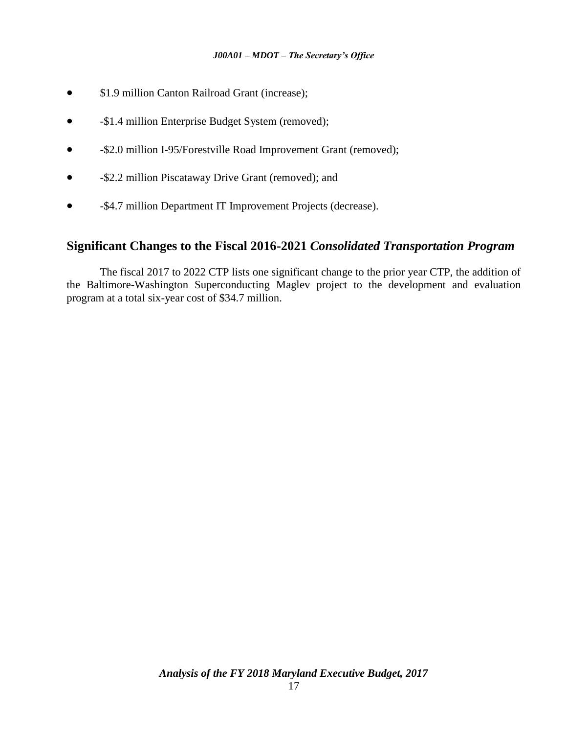- \$1.9 million Canton Railroad Grant (increase);
- -\$1.4 million Enterprise Budget System (removed);
- -\$2.0 million I-95/Forestville Road Improvement Grant (removed);
- -\$2.2 million Piscataway Drive Grant (removed); and
- -\$4.7 million Department IT Improvement Projects (decrease).

## **Significant Changes to the Fiscal 2016-2021** *Consolidated Transportation Program*

The fiscal 2017 to 2022 CTP lists one significant change to the prior year CTP, the addition of the Baltimore-Washington Superconducting Maglev project to the development and evaluation program at a total six-year cost of \$34.7 million.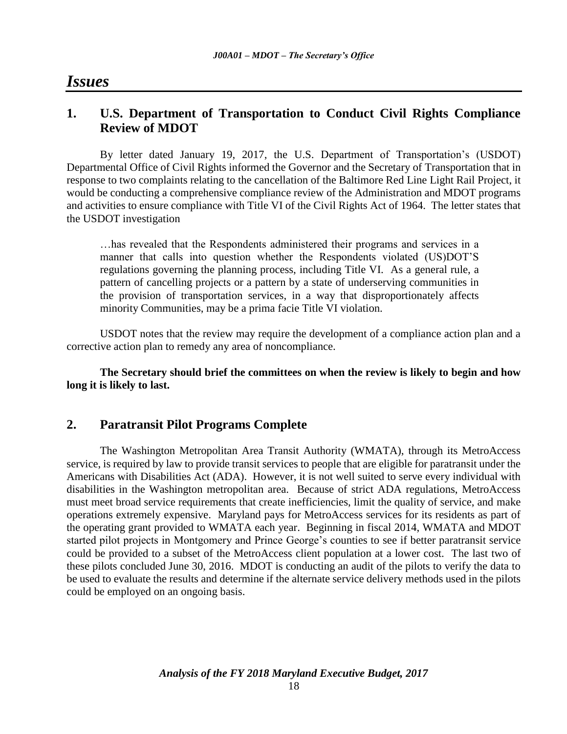# *Issues*

# **1. U.S. Department of Transportation to Conduct Civil Rights Compliance Review of MDOT**

By letter dated January 19, 2017, the U.S. Department of Transportation's (USDOT) Departmental Office of Civil Rights informed the Governor and the Secretary of Transportation that in response to two complaints relating to the cancellation of the Baltimore Red Line Light Rail Project, it would be conducting a comprehensive compliance review of the Administration and MDOT programs and activities to ensure compliance with Title VI of the Civil Rights Act of 1964. The letter states that the USDOT investigation

…has revealed that the Respondents administered their programs and services in a manner that calls into question whether the Respondents violated (US)DOT'S regulations governing the planning process, including Title VI. As a general rule, a pattern of cancelling projects or a pattern by a state of underserving communities in the provision of transportation services, in a way that disproportionately affects minority Communities, may be a prima facie Title VI violation.

USDOT notes that the review may require the development of a compliance action plan and a corrective action plan to remedy any area of noncompliance.

**The Secretary should brief the committees on when the review is likely to begin and how long it is likely to last.** 

## **2. Paratransit Pilot Programs Complete**

The Washington Metropolitan Area Transit Authority (WMATA), through its MetroAccess service, is required by law to provide transit services to people that are eligible for paratransit under the Americans with Disabilities Act (ADA). However, it is not well suited to serve every individual with disabilities in the Washington metropolitan area. Because of strict ADA regulations, MetroAccess must meet broad service requirements that create inefficiencies, limit the quality of service, and make operations extremely expensive. Maryland pays for MetroAccess services for its residents as part of the operating grant provided to WMATA each year. Beginning in fiscal 2014, WMATA and MDOT started pilot projects in Montgomery and Prince George's counties to see if better paratransit service could be provided to a subset of the MetroAccess client population at a lower cost. The last two of these pilots concluded June 30, 2016. MDOT is conducting an audit of the pilots to verify the data to be used to evaluate the results and determine if the alternate service delivery methods used in the pilots could be employed on an ongoing basis.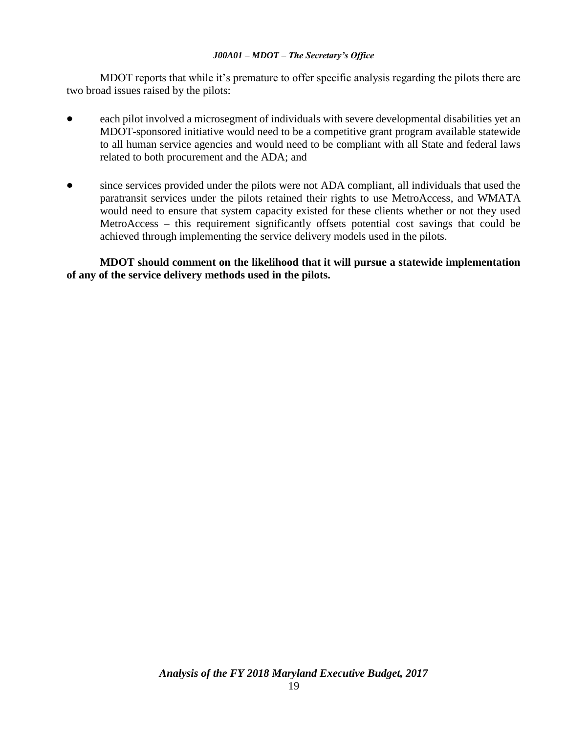MDOT reports that while it's premature to offer specific analysis regarding the pilots there are two broad issues raised by the pilots:

- each pilot involved a microsegment of individuals with severe developmental disabilities yet an MDOT-sponsored initiative would need to be a competitive grant program available statewide to all human service agencies and would need to be compliant with all State and federal laws related to both procurement and the ADA; and
- since services provided under the pilots were not ADA compliant, all individuals that used the paratransit services under the pilots retained their rights to use MetroAccess, and WMATA would need to ensure that system capacity existed for these clients whether or not they used MetroAccess – this requirement significantly offsets potential cost savings that could be achieved through implementing the service delivery models used in the pilots.

**MDOT should comment on the likelihood that it will pursue a statewide implementation of any of the service delivery methods used in the pilots.**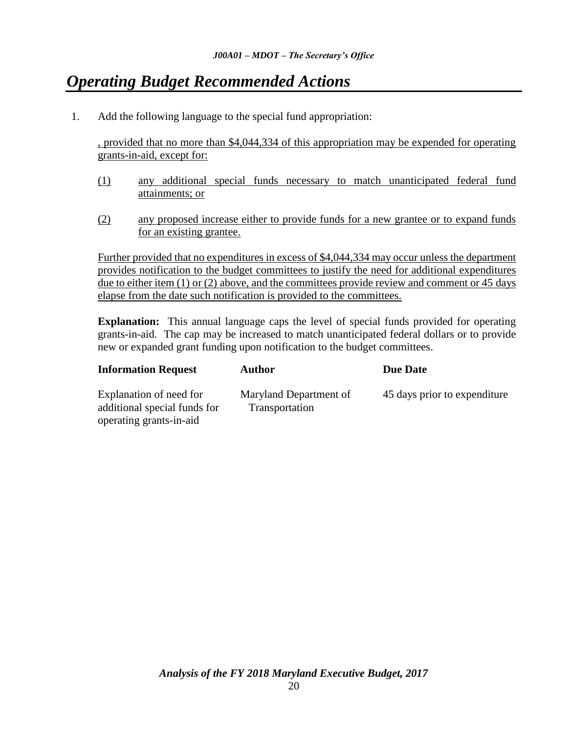# *Operating Budget Recommended Actions*

1. Add the following language to the special fund appropriation:

, provided that no more than \$4,044,334 of this appropriation may be expended for operating grants-in-aid, except for:

- (1) any additional special funds necessary to match unanticipated federal fund attainments; or
- (2) any proposed increase either to provide funds for a new grantee or to expand funds for an existing grantee.

Further provided that no expenditures in excess of \$4,044,334 may occur unless the department provides notification to the budget committees to justify the need for additional expenditures due to either item (1) or (2) above, and the committees provide review and comment or 45 days elapse from the date such notification is provided to the committees.

**Explanation:** This annual language caps the level of special funds provided for operating grants-in-aid. The cap may be increased to match unanticipated federal dollars or to provide new or expanded grant funding upon notification to the budget committees.

| <b>Information Request</b>                                                         | <b>Author</b>                            | Due Date                     |
|------------------------------------------------------------------------------------|------------------------------------------|------------------------------|
| Explanation of need for<br>additional special funds for<br>operating grants-in-aid | Maryland Department of<br>Transportation | 45 days prior to expenditure |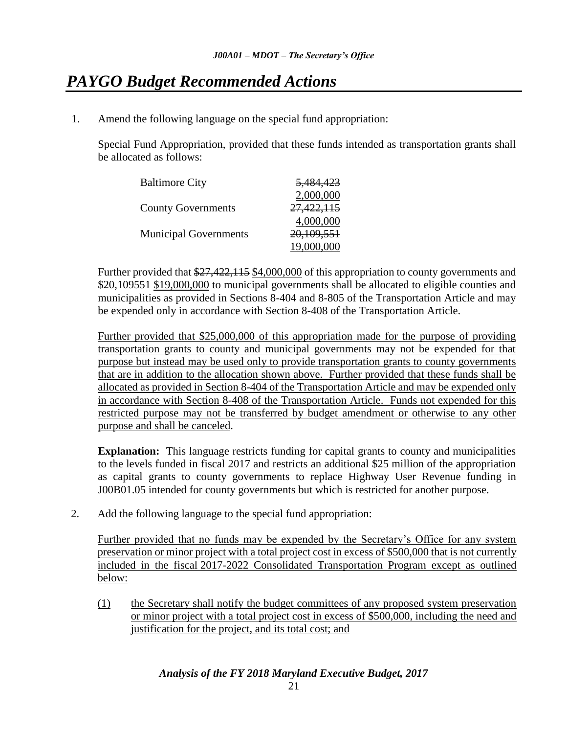# *PAYGO Budget Recommended Actions*

1. Amend the following language on the special fund appropriation:

Special Fund Appropriation, provided that these funds intended as transportation grants shall be allocated as follows:

| <b>Baltimore City</b>        | <del>5,484,423</del> |
|------------------------------|----------------------|
|                              | 2,000,000            |
| <b>County Governments</b>    | 27,422,115           |
|                              | 4,000,000            |
| <b>Municipal Governments</b> | 20,109,551           |
|                              | 19,000,000           |

Further provided that \$27,422,115 \$4,000,000 of this appropriation to county governments and \$20,109551 \$19,000,000 to municipal governments shall be allocated to eligible counties and municipalities as provided in Sections 8-404 and 8-805 of the Transportation Article and may be expended only in accordance with Section 8-408 of the Transportation Article.

Further provided that \$25,000,000 of this appropriation made for the purpose of providing transportation grants to county and municipal governments may not be expended for that purpose but instead may be used only to provide transportation grants to county governments that are in addition to the allocation shown above. Further provided that these funds shall be allocated as provided in Section 8-404 of the Transportation Article and may be expended only in accordance with Section 8-408 of the Transportation Article. Funds not expended for this restricted purpose may not be transferred by budget amendment or otherwise to any other purpose and shall be canceled.

**Explanation:** This language restricts funding for capital grants to county and municipalities to the levels funded in fiscal 2017 and restricts an additional \$25 million of the appropriation as capital grants to county governments to replace Highway User Revenue funding in J00B01.05 intended for county governments but which is restricted for another purpose.

2. Add the following language to the special fund appropriation:

Further provided that no funds may be expended by the Secretary's Office for any system preservation or minor project with a total project cost in excess of \$500,000 that is not currently included in the fiscal 2017-2022 Consolidated Transportation Program except as outlined below:

(1) the Secretary shall notify the budget committees of any proposed system preservation or minor project with a total project cost in excess of \$500,000, including the need and justification for the project, and its total cost; and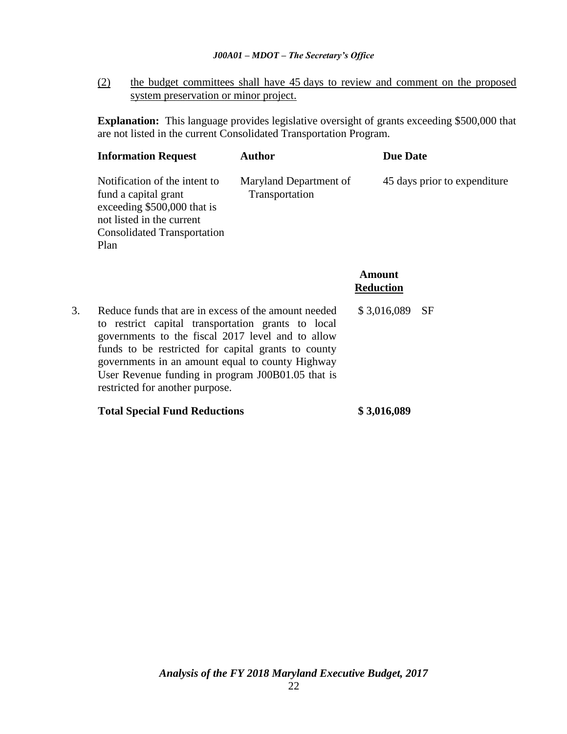(2) the budget committees shall have 45 days to review and comment on the proposed system preservation or minor project.

**Explanation:** This language provides legislative oversight of grants exceeding \$500,000 that are not listed in the current Consolidated Transportation Program*.*

| <b>Information Request</b><br>Author                                                                                                                            |                                          | <b>Due Date</b>              |
|-----------------------------------------------------------------------------------------------------------------------------------------------------------------|------------------------------------------|------------------------------|
| Notification of the intent to<br>fund a capital grant<br>exceeding \$500,000 that is<br>not listed in the current<br><b>Consolidated Transportation</b><br>Plan | Maryland Department of<br>Transportation | 45 days prior to expenditure |

**Amount Reduction**

3. Reduce funds that are in excess of the amount needed to restrict capital transportation grants to local governments to the fiscal 2017 level and to allow funds to be restricted for capital grants to county governments in an amount equal to county Highway User Revenue funding in program J00B01.05 that is restricted for another purpose. \$ 3,016,089 SF

### **Total Special Fund Reductions \$ 3,016,089**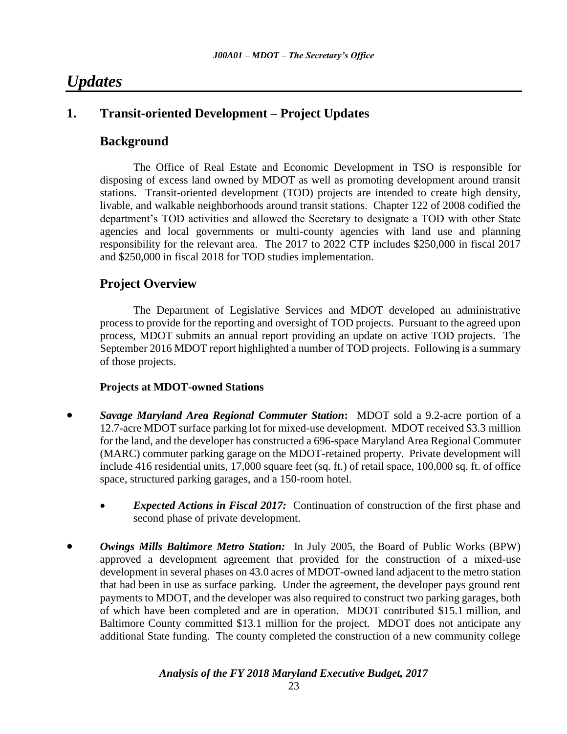# *Updates*

# **1. Transit-oriented Development – Project Updates**

## **Background**

The Office of Real Estate and Economic Development in TSO is responsible for disposing of excess land owned by MDOT as well as promoting development around transit stations. Transit-oriented development (TOD) projects are intended to create high density, livable, and walkable neighborhoods around transit stations. Chapter 122 of 2008 codified the department's TOD activities and allowed the Secretary to designate a TOD with other State agencies and local governments or multi-county agencies with land use and planning responsibility for the relevant area. The 2017 to 2022 CTP includes \$250,000 in fiscal 2017 and \$250,000 in fiscal 2018 for TOD studies implementation.

# **Project Overview**

The Department of Legislative Services and MDOT developed an administrative process to provide for the reporting and oversight of TOD projects. Pursuant to the agreed upon process, MDOT submits an annual report providing an update on active TOD projects. The September 2016 MDOT report highlighted a number of TOD projects. Following is a summary of those projects.

## **Projects at MDOT-owned Stations**

- *Savage Maryland Area Regional Commuter Station***:** MDOT sold a 9.2-acre portion of a 12.7-acre MDOT surface parking lot for mixed-use development. MDOT received \$3.3 million for the land, and the developer has constructed a 696-space Maryland Area Regional Commuter (MARC) commuter parking garage on the MDOT-retained property. Private development will include 416 residential units, 17,000 square feet (sq. ft.) of retail space, 100,000 sq. ft. of office space, structured parking garages, and a 150-room hotel.
	- *Expected Actions in Fiscal 2017:* Continuation of construction of the first phase and second phase of private development.
- *Owings Mills Baltimore Metro Station:* In July 2005, the Board of Public Works (BPW) approved a development agreement that provided for the construction of a mixed-use development in several phases on 43.0 acres of MDOT-owned land adjacent to the metro station that had been in use as surface parking. Under the agreement, the developer pays ground rent payments to MDOT, and the developer was also required to construct two parking garages, both of which have been completed and are in operation. MDOT contributed \$15.1 million, and Baltimore County committed \$13.1 million for the project. MDOT does not anticipate any additional State funding. The county completed the construction of a new community college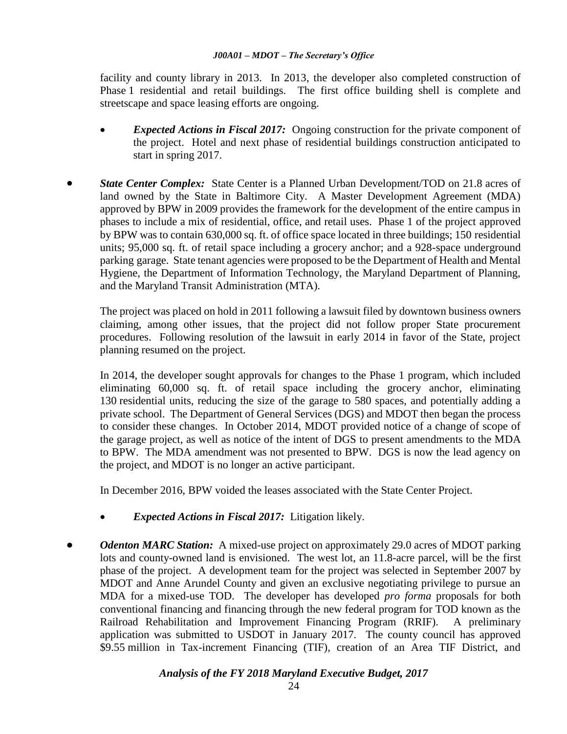facility and county library in 2013. In 2013, the developer also completed construction of Phase 1 residential and retail buildings. The first office building shell is complete and streetscape and space leasing efforts are ongoing.

- *Expected Actions in Fiscal 2017:* Ongoing construction for the private component of the project. Hotel and next phase of residential buildings construction anticipated to start in spring 2017.
- *State Center Complex:* State Center is a Planned Urban Development/TOD on 21.8 acres of land owned by the State in Baltimore City. A Master Development Agreement (MDA) approved by BPW in 2009 provides the framework for the development of the entire campus in phases to include a mix of residential, office, and retail uses. Phase 1 of the project approved by BPW was to contain 630,000 sq. ft. of office space located in three buildings; 150 residential units; 95,000 sq. ft. of retail space including a grocery anchor; and a 928-space underground parking garage. State tenant agencies were proposed to be the Department of Health and Mental Hygiene, the Department of Information Technology, the Maryland Department of Planning, and the Maryland Transit Administration (MTA).

The project was placed on hold in 2011 following a lawsuit filed by downtown business owners claiming, among other issues, that the project did not follow proper State procurement procedures. Following resolution of the lawsuit in early 2014 in favor of the State, project planning resumed on the project.

In 2014, the developer sought approvals for changes to the Phase 1 program, which included eliminating 60,000 sq. ft. of retail space including the grocery anchor, eliminating 130 residential units, reducing the size of the garage to 580 spaces, and potentially adding a private school. The Department of General Services (DGS) and MDOT then began the process to consider these changes. In October 2014, MDOT provided notice of a change of scope of the garage project, as well as notice of the intent of DGS to present amendments to the MDA to BPW. The MDA amendment was not presented to BPW. DGS is now the lead agency on the project, and MDOT is no longer an active participant.

In December 2016, BPW voided the leases associated with the State Center Project.

- *Expected Actions in Fiscal 2017:* Litigation likely.
- *Odenton MARC Station:*A mixed-use project on approximately 29.0 acres of MDOT parking lots and county-owned land is envisioned. The west lot, an 11.8-acre parcel, will be the first phase of the project. A development team for the project was selected in September 2007 by MDOT and Anne Arundel County and given an exclusive negotiating privilege to pursue an MDA for a mixed-use TOD. The developer has developed *pro forma* proposals for both conventional financing and financing through the new federal program for TOD known as the Railroad Rehabilitation and Improvement Financing Program (RRIF). A preliminary application was submitted to USDOT in January 2017. The county council has approved \$9.55 million in Tax-increment Financing (TIF), creation of an Area TIF District, and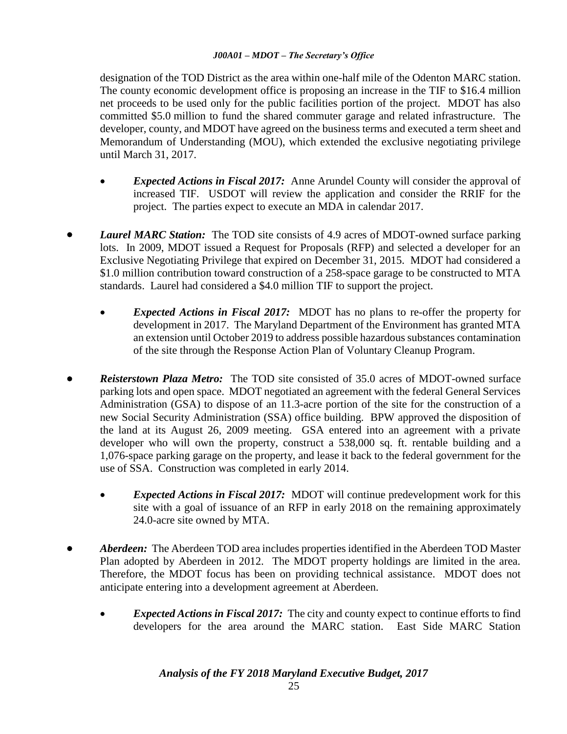designation of the TOD District as the area within one-half mile of the Odenton MARC station. The county economic development office is proposing an increase in the TIF to \$16.4 million net proceeds to be used only for the public facilities portion of the project. MDOT has also committed \$5.0 million to fund the shared commuter garage and related infrastructure. The developer, county, and MDOT have agreed on the business terms and executed a term sheet and Memorandum of Understanding (MOU), which extended the exclusive negotiating privilege until March 31, 2017.

- *Expected Actions in Fiscal 2017:* Anne Arundel County will consider the approval of increased TIF. USDOT will review the application and consider the RRIF for the project. The parties expect to execute an MDA in calendar 2017.
- *Laurel MARC Station:* The TOD site consists of 4.9 acres of MDOT-owned surface parking lots. In 2009, MDOT issued a Request for Proposals (RFP) and selected a developer for an Exclusive Negotiating Privilege that expired on December 31, 2015. MDOT had considered a \$1.0 million contribution toward construction of a 258-space garage to be constructed to MTA standards. Laurel had considered a \$4.0 million TIF to support the project.
	- *Expected Actions in Fiscal 2017:* MDOT has no plans to re-offer the property for development in 2017. The Maryland Department of the Environment has granted MTA an extension until October 2019 to address possible hazardous substances contamination of the site through the Response Action Plan of Voluntary Cleanup Program.
- *Reisterstown Plaza Metro:* The TOD site consisted of 35.0 acres of MDOT-owned surface parking lots and open space. MDOT negotiated an agreement with the federal General Services Administration (GSA) to dispose of an 11.3-acre portion of the site for the construction of a new Social Security Administration (SSA) office building. BPW approved the disposition of the land at its August 26, 2009 meeting. GSA entered into an agreement with a private developer who will own the property, construct a 538,000 sq. ft. rentable building and a 1,076-space parking garage on the property, and lease it back to the federal government for the use of SSA. Construction was completed in early 2014.
	- *Expected Actions in Fiscal 2017:* MDOT will continue predevelopment work for this site with a goal of issuance of an RFP in early 2018 on the remaining approximately 24.0-acre site owned by MTA.
- *Aberdeen:*The Aberdeen TOD area includes properties identified in the Aberdeen TOD Master Plan adopted by Aberdeen in 2012. The MDOT property holdings are limited in the area. Therefore, the MDOT focus has been on providing technical assistance. MDOT does not anticipate entering into a development agreement at Aberdeen.
	- *Expected Actions in Fiscal 2017:* The city and county expect to continue efforts to find developers for the area around the MARC station. East Side MARC Station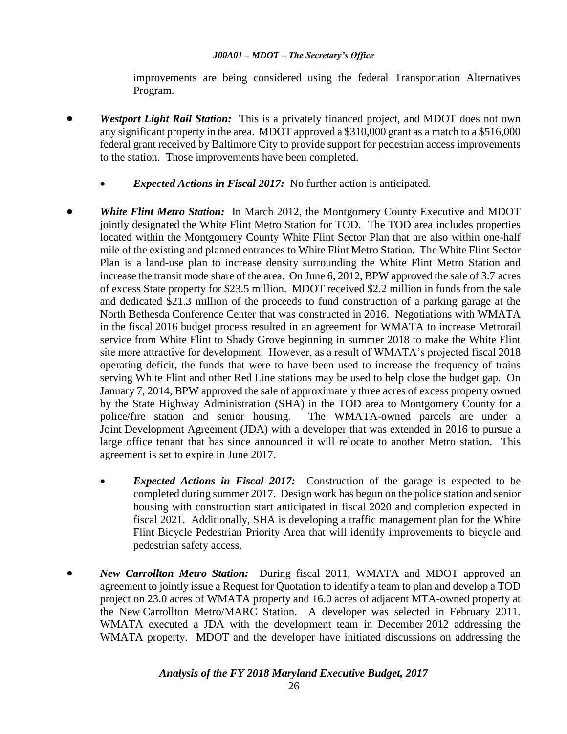improvements are being considered using the federal Transportation Alternatives Program.

- *Westport Light Rail Station:* This is a privately financed project, and MDOT does not own any significant property in the area. MDOT approved a \$310,000 grant as a match to a \$516,000 federal grant received by Baltimore City to provide support for pedestrian access improvements to the station. Those improvements have been completed.
	- *Expected Actions in Fiscal 2017:* No further action is anticipated.
- *White Flint Metro Station:* In March 2012, the Montgomery County Executive and MDOT jointly designated the White Flint Metro Station for TOD. The TOD area includes properties located within the Montgomery County White Flint Sector Plan that are also within one-half mile of the existing and planned entrances to White Flint Metro Station. The White Flint Sector Plan is a land-use plan to increase density surrounding the White Flint Metro Station and increase the transit mode share of the area. On June 6, 2012, BPW approved the sale of 3.7 acres of excess State property for \$23.5 million. MDOT received \$2.2 million in funds from the sale and dedicated \$21.3 million of the proceeds to fund construction of a parking garage at the North Bethesda Conference Center that was constructed in 2016. Negotiations with WMATA in the fiscal 2016 budget process resulted in an agreement for WMATA to increase Metrorail service from White Flint to Shady Grove beginning in summer 2018 to make the White Flint site more attractive for development. However, as a result of WMATA's projected fiscal 2018 operating deficit, the funds that were to have been used to increase the frequency of trains serving White Flint and other Red Line stations may be used to help close the budget gap. On January 7, 2014, BPW approved the sale of approximately three acres of excess property owned by the State Highway Administration (SHA) in the TOD area to Montgomery County for a police/fire station and senior housing. The WMATA-owned parcels are under a Joint Development Agreement (JDA) with a developer that was extended in 2016 to pursue a large office tenant that has since announced it will relocate to another Metro station. This agreement is set to expire in June 2017.
	- *Expected Actions in Fiscal 2017:* Construction of the garage is expected to be completed during summer 2017. Design work has begun on the police station and senior housing with construction start anticipated in fiscal 2020 and completion expected in fiscal 2021. Additionally, SHA is developing a traffic management plan for the White Flint Bicycle Pedestrian Priority Area that will identify improvements to bicycle and pedestrian safety access.
- *New Carrollton Metro Station:*During fiscal 2011, WMATA and MDOT approved an agreement to jointly issue a Request for Quotation to identify a team to plan and develop a TOD project on 23.0 acres of WMATA property and 16.0 acres of adjacent MTA-owned property at the New Carrollton Metro/MARC Station. A developer was selected in February 2011. WMATA executed a JDA with the development team in December 2012 addressing the WMATA property. MDOT and the developer have initiated discussions on addressing the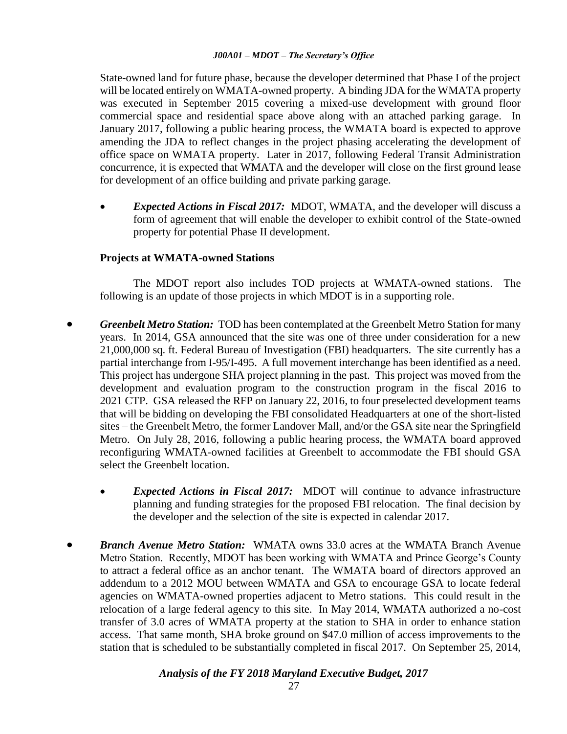State-owned land for future phase, because the developer determined that Phase I of the project will be located entirely on WMATA-owned property. A binding JDA for the WMATA property was executed in September 2015 covering a mixed-use development with ground floor commercial space and residential space above along with an attached parking garage.In January 2017, following a public hearing process, the WMATA board is expected to approve amending the JDA to reflect changes in the project phasing accelerating the development of office space on WMATA property. Later in 2017, following Federal Transit Administration concurrence, it is expected that WMATA and the developer will close on the first ground lease for development of an office building and private parking garage.

 *Expected Actions in Fiscal 2017:* MDOT, WMATA, and the developer will discuss a form of agreement that will enable the developer to exhibit control of the State-owned property for potential Phase II development.

### **Projects at WMATA-owned Stations**

The MDOT report also includes TOD projects at WMATA-owned stations. The following is an update of those projects in which MDOT is in a supporting role.

- *Greenbelt Metro Station:* TOD has been contemplated at the Greenbelt Metro Station for many years. In 2014, GSA announced that the site was one of three under consideration for a new 21,000,000 sq. ft. Federal Bureau of Investigation (FBI) headquarters. The site currently has a partial interchange from I-95/I-495. A full movement interchange has been identified as a need. This project has undergone SHA project planning in the past. This project was moved from the development and evaluation program to the construction program in the fiscal 2016 to 2021 CTP. GSA released the RFP on January 22, 2016, to four preselected development teams that will be bidding on developing the FBI consolidated Headquarters at one of the short-listed sites – the Greenbelt Metro, the former Landover Mall, and/or the GSA site near the Springfield Metro. On July 28, 2016, following a public hearing process, the WMATA board approved reconfiguring WMATA-owned facilities at Greenbelt to accommodate the FBI should GSA select the Greenbelt location.
	- *Expected Actions in Fiscal 2017:* MDOT will continue to advance infrastructure planning and funding strategies for the proposed FBI relocation. The final decision by the developer and the selection of the site is expected in calendar 2017.
- *Branch Avenue Metro Station:*WMATA owns 33.0 acres at the WMATA Branch Avenue Metro Station. Recently, MDOT has been working with WMATA and Prince George's County to attract a federal office as an anchor tenant. The WMATA board of directors approved an addendum to a 2012 MOU between WMATA and GSA to encourage GSA to locate federal agencies on WMATA-owned properties adjacent to Metro stations. This could result in the relocation of a large federal agency to this site. In May 2014, WMATA authorized a no-cost transfer of 3.0 acres of WMATA property at the station to SHA in order to enhance station access. That same month, SHA broke ground on \$47.0 million of access improvements to the station that is scheduled to be substantially completed in fiscal 2017. On September 25, 2014,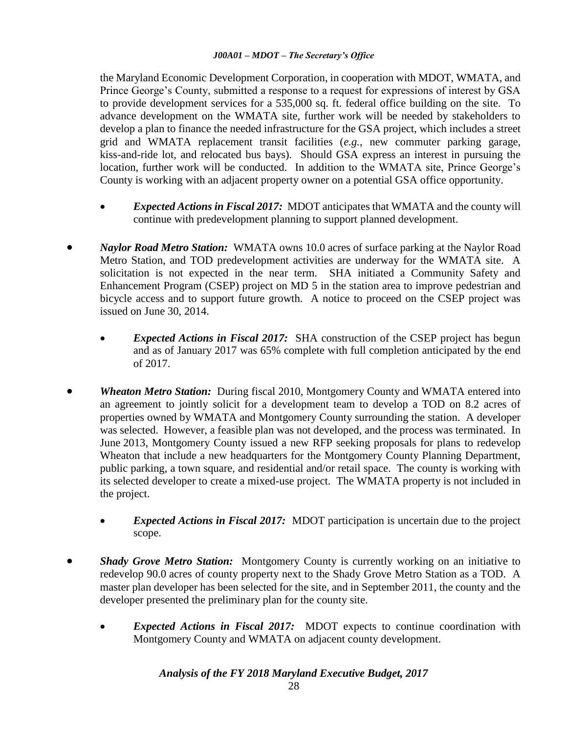the Maryland Economic Development Corporation, in cooperation with MDOT, WMATA, and Prince George's County, submitted a response to a request for expressions of interest by GSA to provide development services for a 535,000 sq. ft. federal office building on the site. To advance development on the WMATA site, further work will be needed by stakeholders to develop a plan to finance the needed infrastructure for the GSA project, which includes a street grid and WMATA replacement transit facilities (*e.g.*, new commuter parking garage, kiss-and-ride lot, and relocated bus bays). Should GSA express an interest in pursuing the location, further work will be conducted. In addition to the WMATA site, Prince George's County is working with an adjacent property owner on a potential GSA office opportunity.

- *Expected Actions in Fiscal 2017:* MDOT anticipates that WMATA and the county will continue with predevelopment planning to support planned development.
- *Naylor Road Metro Station:* WMATA owns 10.0 acres of surface parking at the Naylor Road Metro Station, and TOD predevelopment activities are underway for the WMATA site. A solicitation is not expected in the near term. SHA initiated a Community Safety and Enhancement Program (CSEP) project on MD 5 in the station area to improve pedestrian and bicycle access and to support future growth. A notice to proceed on the CSEP project was issued on June 30, 2014.
	- *Expected Actions in Fiscal 2017:* SHA construction of the CSEP project has begun and as of January 2017 was 65% complete with full completion anticipated by the end of 2017.
- *Wheaton Metro Station:* During fiscal 2010, Montgomery County and WMATA entered into an agreement to jointly solicit for a development team to develop a TOD on 8.2 acres of properties owned by WMATA and Montgomery County surrounding the station. A developer was selected. However, a feasible plan was not developed, and the process was terminated. In June 2013, Montgomery County issued a new RFP seeking proposals for plans to redevelop Wheaton that include a new headquarters for the Montgomery County Planning Department, public parking, a town square, and residential and/or retail space. The county is working with its selected developer to create a mixed-use project. The WMATA property is not included in the project.
	- *Expected Actions in Fiscal 2017:* MDOT participation is uncertain due to the project scope.
- **Shady Grove Metro Station:** Montgomery County is currently working on an initiative to redevelop 90.0 acres of county property next to the Shady Grove Metro Station as a TOD. A master plan developer has been selected for the site, and in September 2011, the county and the developer presented the preliminary plan for the county site.
	- *Expected Actions in Fiscal 2017:* MDOT expects to continue coordination with Montgomery County and WMATA on adjacent county development.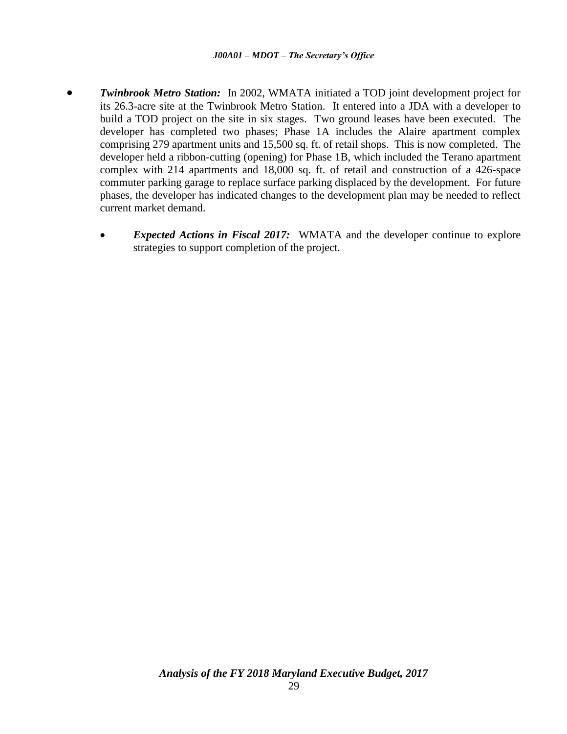- *Twinbrook Metro Station:*In 2002, WMATA initiated a TOD joint development project for its 26.3-acre site at the Twinbrook Metro Station. It entered into a JDA with a developer to build a TOD project on the site in six stages. Two ground leases have been executed. The developer has completed two phases; Phase 1A includes the Alaire apartment complex comprising 279 apartment units and 15,500 sq. ft. of retail shops. This is now completed. The developer held a ribbon-cutting (opening) for Phase 1B, which included the Terano apartment complex with 214 apartments and 18,000 sq. ft. of retail and construction of a 426-space commuter parking garage to replace surface parking displaced by the development. For future phases, the developer has indicated changes to the development plan may be needed to reflect current market demand.
	- *Expected Actions in Fiscal 2017:* WMATA and the developer continue to explore strategies to support completion of the project.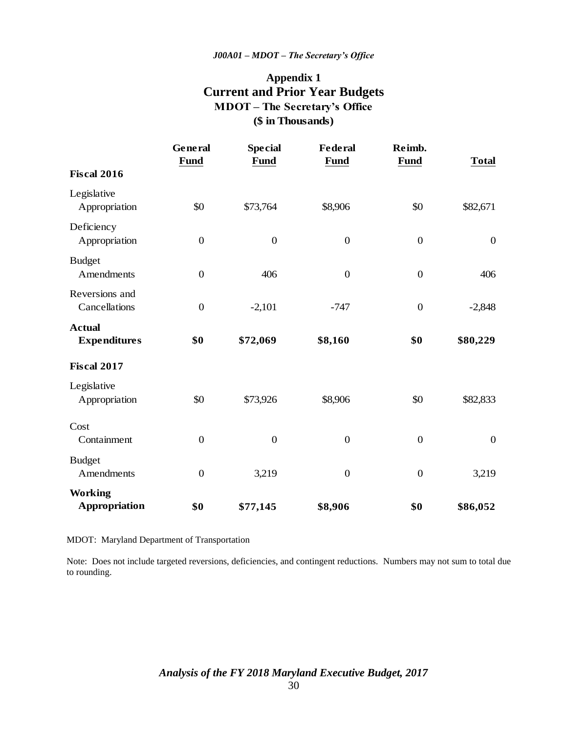# **Appendix 1 Current and Prior Year Budgets (\$ in Thousands) MDOT – The Secretary's Office**

|                                        | General<br><b>Fund</b> | <b>Special</b><br>Fund | <b>Federal</b><br><b>Fund</b> | Reimb.<br><b>Fund</b> | <b>Total</b>     |
|----------------------------------------|------------------------|------------------------|-------------------------------|-----------------------|------------------|
| <b>Fiscal 2016</b>                     |                        |                        |                               |                       |                  |
| Legislative<br>Appropriation           | \$0                    | \$73,764               | \$8,906                       | \$0                   | \$82,671         |
| Deficiency<br>Appropriation            | $\boldsymbol{0}$       | $\boldsymbol{0}$       | $\boldsymbol{0}$              | $\boldsymbol{0}$      | $\overline{0}$   |
| <b>Budget</b><br>Amendments            | $\overline{0}$         | 406                    | $\boldsymbol{0}$              | $\overline{0}$        | 406              |
| Reversions and<br>Cancellations        | $\boldsymbol{0}$       | $-2,101$               | $-747$                        | $\boldsymbol{0}$      | $-2,848$         |
| <b>Actual</b><br><b>Expenditures</b>   | \$0                    | \$72,069               | \$8,160                       | \$0                   | \$80,229         |
| <b>Fiscal 2017</b>                     |                        |                        |                               |                       |                  |
| Legislative<br>Appropriation           | \$0                    | \$73,926               | \$8,906                       | \$0                   | \$82,833         |
| Cost<br>Containment                    | $\boldsymbol{0}$       | $\boldsymbol{0}$       | $\boldsymbol{0}$              | $\boldsymbol{0}$      | $\boldsymbol{0}$ |
| <b>Budget</b><br>Amendments            | $\overline{0}$         | 3,219                  | $\boldsymbol{0}$              | $\overline{0}$        | 3,219            |
| <b>Working</b><br><b>Appropriation</b> | \$0                    | \$77,145               | \$8,906                       | \$0                   | \$86,052         |

MDOT: Maryland Department of Transportation

Note: Does not include targeted reversions, deficiencies, and contingent reductions. Numbers may not sum to total due to rounding.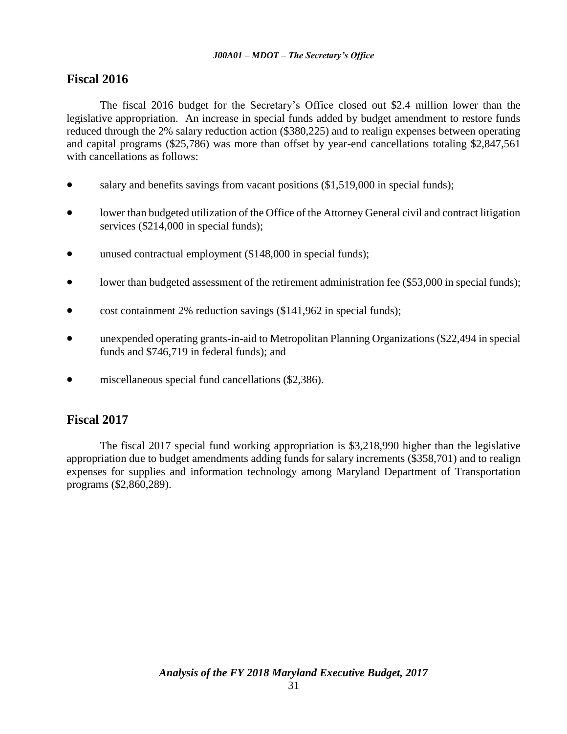## **Fiscal 2016**

The fiscal 2016 budget for the Secretary's Office closed out \$2.4 million lower than the legislative appropriation. An increase in special funds added by budget amendment to restore funds reduced through the 2% salary reduction action (\$380,225) and to realign expenses between operating and capital programs (\$25,786) was more than offset by year-end cancellations totaling \$2,847,561 with cancellations as follows:

- salary and benefits savings from vacant positions (\$1,519,000 in special funds);
- lower than budgeted utilization of the Office of the Attorney General civil and contract litigation services (\$214,000 in special funds);
- unused contractual employment (\$148,000 in special funds);
- lower than budgeted assessment of the retirement administration fee (\$53,000 in special funds);
- cost containment 2% reduction savings (\$141,962 in special funds);
- unexpended operating grants-in-aid to Metropolitan Planning Organizations (\$22,494 in special funds and \$746,719 in federal funds); and
- **•** miscellaneous special fund cancellations (\$2,386).

## **Fiscal 2017**

The fiscal 2017 special fund working appropriation is \$3,218,990 higher than the legislative appropriation due to budget amendments adding funds for salary increments (\$358,701) and to realign expenses for supplies and information technology among Maryland Department of Transportation programs (\$2,860,289).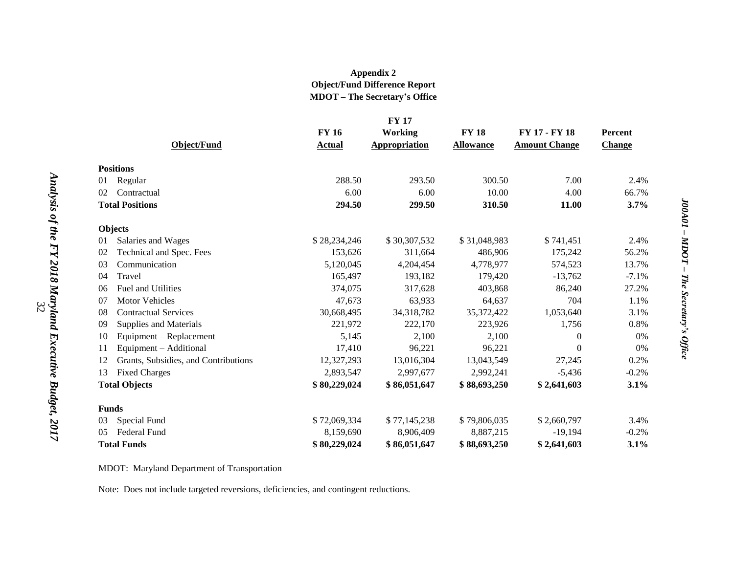### **Appendix 2 Object/Fund Difference Report MDOT – The Secretary's Office**

|                                            |               | <b>FY 17</b>         |                  |                      |                |
|--------------------------------------------|---------------|----------------------|------------------|----------------------|----------------|
|                                            | <b>FY 16</b>  | <b>Working</b>       | <b>FY 18</b>     | FY 17 - FY 18        | <b>Percent</b> |
| Object/Fund                                | <b>Actual</b> | <b>Appropriation</b> | <b>Allowance</b> | <b>Amount Change</b> | <b>Change</b>  |
| <b>Positions</b>                           |               |                      |                  |                      |                |
| Regular<br>01                              | 288.50        | 293.50               | 300.50           | 7.00                 | 2.4%           |
| 02<br>Contractual                          | 6.00          | 6.00                 | 10.00            | 4.00                 | 66.7%          |
| <b>Total Positions</b>                     | 294.50        | 299.50               | 310.50           | 11.00                | 3.7%           |
| <b>Objects</b>                             |               |                      |                  |                      |                |
| Salaries and Wages<br>01                   | \$28,234,246  | \$30,307,532         | \$31,048,983     | \$741,451            | 2.4%           |
| 02<br>Technical and Spec. Fees             | 153,626       | 311,664              | 486,906          | 175,242              | 56.2%          |
| Communication<br>03                        | 5,120,045     | 4,204,454            | 4,778,977        | 574,523              | 13.7%          |
| Travel<br>04                               | 165,497       | 193,182              | 179,420          | $-13,762$            | $-7.1%$        |
| Fuel and Utilities<br>06                   | 374,075       | 317,628              | 403,868          | 86,240               | 27.2%          |
| <b>Motor Vehicles</b><br>07                | 47,673        | 63,933               | 64,637           | 704                  | 1.1%           |
| <b>Contractual Services</b><br>08          | 30,668,495    | 34,318,782           | 35,372,422       | 1,053,640            | 3.1%           |
| Supplies and Materials<br>09               | 221,972       | 222,170              | 223,926          | 1,756                | 0.8%           |
| Equipment - Replacement<br>10              | 5,145         | 2,100                | 2,100            | 0                    | 0%             |
| Equipment - Additional<br>11               | 17,410        | 96,221               | 96,221           | 0                    | 0%             |
| Grants, Subsidies, and Contributions<br>12 | 12,327,293    | 13,016,304           | 13,043,549       | 27,245               | 0.2%           |
| <b>Fixed Charges</b><br>13                 | 2,893,547     | 2,997,677            | 2,992,241        | $-5,436$             | $-0.2%$        |
| <b>Total Objects</b>                       | \$80,229,024  | \$86,051,647         | \$88,693,250     | \$2,641,603          | 3.1%           |
| <b>Funds</b>                               |               |                      |                  |                      |                |
| Special Fund<br>03                         | \$72,069,334  | \$77,145,238         | \$79,806,035     | \$2,660,797          | 3.4%           |
| Federal Fund<br>0 <sub>5</sub>             | 8,159,690     | 8,906,409            | 8,887,215        | $-19,194$            | $-0.2%$        |
| <b>Total Funds</b>                         | \$80,229,024  | \$86,051,647         | \$88,693,250     | \$2,641,603          | 3.1%           |

MDOT: Maryland Department of Transportation

Note: Does not include targeted reversions, deficiencies, and contingent reductions.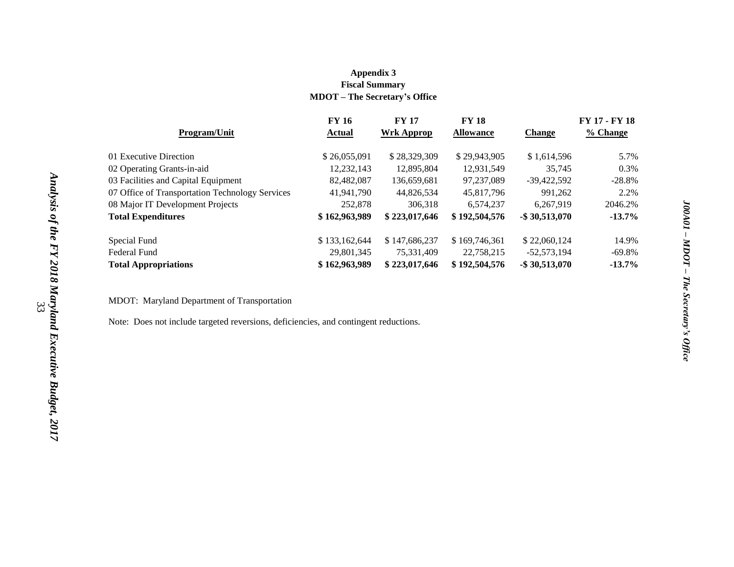#### **Appendix 3 Fiscal Summary MDOT – The Secretary's Office**

| <b>FY 16</b>  | <b>FY 17</b>  | <b>FY 18</b>     |                   | <b>FY 17 - FY 18</b> |
|---------------|---------------|------------------|-------------------|----------------------|
| Actual        | Wrk Approp    | <b>Allowance</b> | <b>Change</b>     | % Change             |
| \$26,055,091  | \$28,329,309  | \$29,943,905     | \$1,614,596       | 5.7%                 |
| 12,232,143    | 12,895,804    | 12,931,549       | 35,745            | 0.3%                 |
| 82,482,087    | 136,659,681   | 97,237,089       | $-39.422.592$     | $-28.8%$             |
| 41,941,790    | 44,826,534    | 45,817,796       | 991.262           | 2.2%                 |
| 252,878       | 306.318       | 6.574.237        | 6.267.919         | 2046.2%              |
| \$162,963,989 | \$223,017,646 | \$192,504,576    | $-$ \$ 30,513,070 | $-13.7%$             |
| \$133,162,644 | \$147,686,237 | \$169,746,361    | \$22,060,124      | 14.9%                |
| 29,801,345    | 75,331,409    | 22,758,215       | $-52,573,194$     | $-69.8\%$            |
| \$162,963,989 | \$223,017,646 | \$192,504,576    | $-$ \$ 30,513,070 | $-13.7%$             |
|               |               |                  |                   |                      |

MDOT: Maryland Department of Transportation

Note: Does not include targeted reversions, deficiencies, and contingent reductions.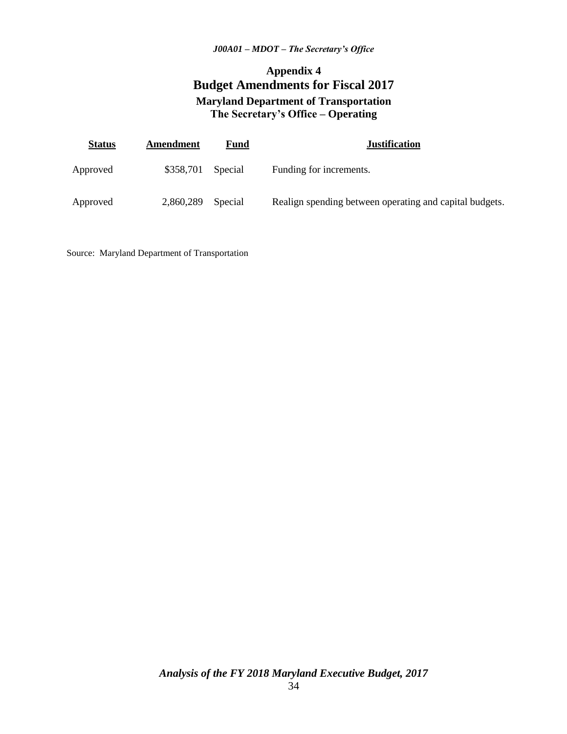# **Appendix 4 Budget Amendments for Fiscal 2017 Maryland Department of Transportation The Secretary's Office – Operating**

| <b>Status</b> | Amendment | Fund    | <b>Justification</b>                                    |
|---------------|-----------|---------|---------------------------------------------------------|
| Approved      | \$358,701 | Special | Funding for increments.                                 |
| Approved      | 2,860,289 | Special | Realign spending between operating and capital budgets. |

Source: Maryland Department of Transportation